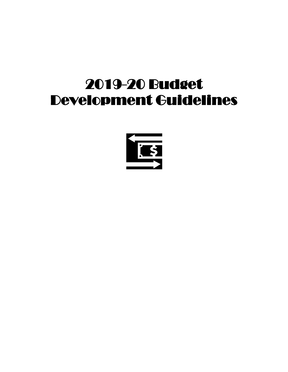# 2019-20 Budget Development Guidelines

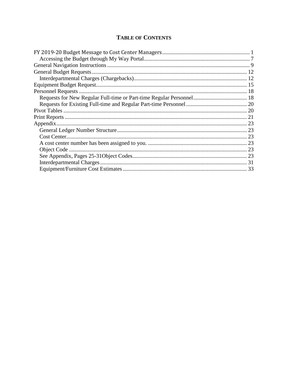### **TABLE OF CONTENTS**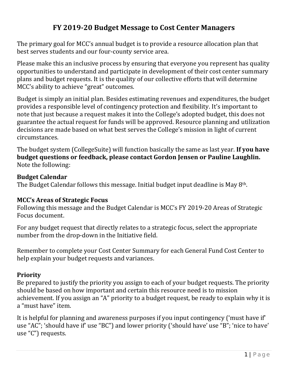# **FY 2019-20 Budget Message to Cost Center Managers**

<span id="page-2-0"></span>The primary goal for MCC's annual budget is to provide a resource allocation plan that best serves students and our four-county service area.

Please make this an inclusive process by ensuring that everyone you represent has quality opportunities to understand and participate in development of their cost center summary plans and budget requests. It is the quality of our collective efforts that will determine MCC's ability to achieve "great" outcomes.

Budget is simply an initial plan. Besides estimating revenues and expenditures, the budget provides a responsible level of contingency protection and flexibility. It's important to note that just because a request makes it into the College's adopted budget, this does not guarantee the actual request for funds will be approved. Resource planning and utilization decisions are made based on what best serves the College's mission in light of current circumstances.

The budget system (CollegeSuite) will function basically the same as last year. **If you have budget questions or feedback, please contact Gordon Jensen or Pauline Laughlin.**  Note the following:

### **Budget Calendar**

The Budget Calendar follows this message. Initial budget input deadline is May 8th.

### **MCC's Areas of Strategic Focus**

Following this message and the Budget Calendar is MCC's FY 2019-20 Areas of Strategic Focus document.

For any budget request that directly relates to a strategic focus, select the appropriate number from the drop-down in the Initiative field.

Remember to complete your Cost Center Summary for each General Fund Cost Center to help explain your budget requests and variances.

### **Priority**

Be prepared to justify the priority you assign to each of your budget requests. The priority should be based on how important and certain this resource need is to mission achievement. If you assign an "A" priority to a budget request, be ready to explain why it is a "must have" item.

It is helpful for planning and awareness purposes if you input contingency ('must have if' use "AC"; 'should have if' use "BC") and lower priority ('should have' use "B"; 'nice to have' use "C") requests.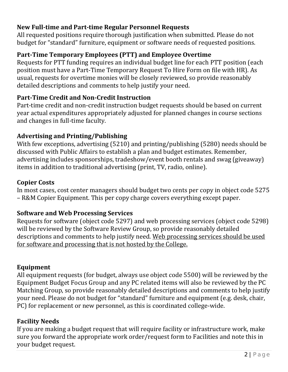# **New Full-time and Part-time Regular Personnel Requests**

All requested positions require thorough justification when submitted. Please do not budget for "standard" furniture, equipment or software needs of requested positions.

### **Part-Time Temporary Employees (PTT) and Employee Overtime**

Requests for PTT funding requires an individual budget line for each PTT position (each position must have a Part-Time Temporary Request To Hire Form on file with HR). As usual, requests for overtime monies will be closely reviewed, so provide reasonably detailed descriptions and comments to help justify your need.

### **Part-Time Credit and Non-Credit Instruction**

Part-time credit and non-credit instruction budget requests should be based on current year actual expenditures appropriately adjusted for planned changes in course sections and changes in full-time faculty.

### **Advertising and Printing/Publishing**

With few exceptions, advertising (5210) and printing/publishing (5280) needs should be discussed with Public Affairs to establish a plan and budget estimates. Remember, advertising includes sponsorships, tradeshow/event booth rentals and swag (giveaway) items in addition to traditional advertising (print, TV, radio, online).

### **Copier Costs**

In most cases, cost center managers should budget two cents per copy in object code 5275 – R&M Copier Equipment. This per copy charge covers everything except paper.

### **Software and Web Processing Services**

Requests for software (object code 5297) and web processing services (object code 5298) will be reviewed by the Software Review Group, so provide reasonably detailed descriptions and comments to help justify need. Web processing services should be used for software and processing that is not hosted by the College.

### **Equipment**

All equipment requests (for budget, always use object code 5500) will be reviewed by the Equipment Budget Focus Group and any PC related items will also be reviewed by the PC Matching Group, so provide reasonably detailed descriptions and comments to help justify your need. Please do not budget for "standard" furniture and equipment (e.g. desk, chair, PC) for replacement or new personnel, as this is coordinated college-wide.

### **Facility Needs**

If you are making a budget request that will require facility or infrastructure work, make sure you forward the appropriate work order/request form to Facilities and note this in your budget request.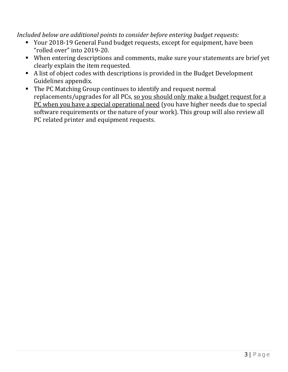*Included below are additional points to consider before entering budget requests:*

- Your 2018-19 General Fund budget requests, except for equipment, have been "rolled over" into 2019-20.
- When entering descriptions and comments, make sure your statements are brief yet clearly explain the item requested.
- A list of object codes with descriptions is provided in the Budget Development Guidelines appendix.
- The PC Matching Group continues to identify and request normal replacements/upgrades for all PCs, so you should only make a budget request for a PC when you have a special operational need (you have higher needs due to special software requirements or the nature of your work). This group will also review all PC related printer and equipment requests.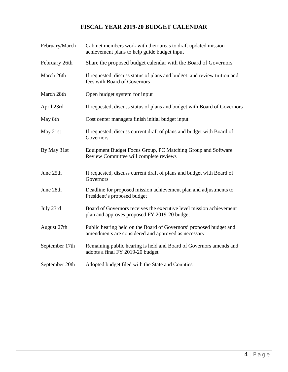### **FISCAL YEAR 2019-20 BUDGET CALENDAR**

| February/March | Cabinet members work with their areas to draft updated mission<br>achievement plans to help guide budget input            |
|----------------|---------------------------------------------------------------------------------------------------------------------------|
| February 26th  | Share the proposed budget calendar with the Board of Governors                                                            |
| March 26th     | If requested, discuss status of plans and budget, and review tuition and<br>fees with Board of Governors                  |
| March 28th     | Open budget system for input                                                                                              |
| April 23rd     | If requested, discuss status of plans and budget with Board of Governors                                                  |
| May 8th        | Cost center managers finish initial budget input                                                                          |
| May 21st       | If requested, discuss current draft of plans and budget with Board of<br>Governors                                        |
| By May 31st    | Equipment Budget Focus Group, PC Matching Group and Software<br>Review Committee will complete reviews                    |
| June 25th      | If requested, discuss current draft of plans and budget with Board of<br>Governors                                        |
| June 28th      | Deadline for proposed mission achievement plan and adjustments to<br>President's proposed budget                          |
| July 23rd      | Board of Governors receives the executive level mission achievement<br>plan and approves proposed FY 2019-20 budget       |
| August 27th    | Public hearing held on the Board of Governors' proposed budget and<br>amendments are considered and approved as necessary |
| September 17th | Remaining public hearing is held and Board of Governors amends and<br>adopts a final FY 2019-20 budget                    |
| September 20th | Adopted budget filed with the State and Counties                                                                          |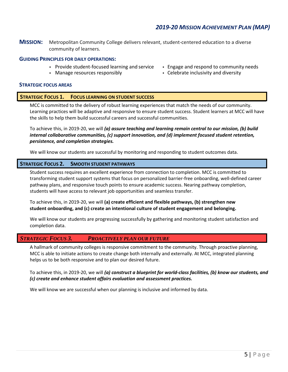5 | Page

### *2019-20 MISSION ACHIEVEMENT PLAN (MAP)*

**MISSION:** Metropolitan Community College delivers relevant, student-centered education to a diverse community of learners.

#### **GUIDING PRINCIPLES FOR DAILY OPERATIONS:**

- Provide student-focused learning and service
- Manage resources responsibly

#### **STRATEGIC FOCUS AREAS**

#### **STRATEGIC FOCUS 1. FOCUS LEARNING ON STUDENT SUCCESS**

MCC is committed to the delivery of robust learning experiences that match the needs of our community. Learning practices will be adaptive and responsive to ensure student success. Student learners at MCC will have the skills to help them build successful careers and successful communities.

To achieve this, in 2019-20, we will *(a) assure teaching and learning remain central to our mission, (b) build internal collaborative communities, (c) support innovation, and (d) implement focused student retention, persistence, and completion strategies.*

We will know our students are successful by monitoring and responding to student outcomes data.

#### **STRATEGIC FOCUS 2. SMOOTH STUDENT PATHWAYS**

Student success requires an excellent experience from connection to completion. MCC is committed to transforming student support systems that focus on personalized barrier-free onboarding, well-defined career pathway plans, and responsive touch points to ensure academic success. Nearing pathway completion, students will have access to relevant job opportunities and seamless transfer.

To achieve this, in 2019-20, we will **(a) create efficient and flexible pathways, (b) strengthen new student onboarding, and (c) create an intentional culture of student engagement and belonging.**

We will know our students are progressing successfully by gathering and monitoring student satisfaction and completion data.

#### *STRATEGIC FOCUS 3. PROACTIVELY PLAN OUR FUTURE*

A hallmark of community colleges is responsive commitment to the community. Through proactive planning, MCC is able to initiate actions to create change both internally and externally. At MCC, integrated planning helps us to be both responsive and to plan our desired future.

To achieve this, in 2019-20, we will *(a) construct a blueprint for world-class facilities, (b) know our students, and (c) create and enhance student affairs evaluation and assessment practices.*

We will know we are successful when our planning is inclusive and informed by data.

- Engage and respond to community needs
- Celebrate inclusivity and diversity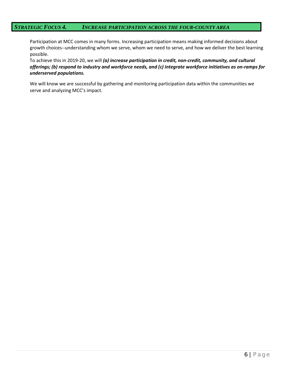Participation at MCC comes in many forms. Increasing participation means making informed decisions about growth choices--understanding whom we serve, whom we need to serve, and how we deliver the best learning possible.

To achieve this in 2019-20, we will *(a) increase participation in credit, non-credit, community, and cultural offerings; (b) respond to industry and workforce needs, and (c) integrate workforce initiatives as on-ramps for underserved populations.*

We will know we are successful by gathering and monitoring participation data within the communities we serve and analyzing MCC's impact.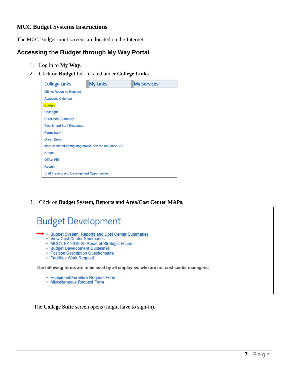### **MCC Budget Systems Instructions**

The MCC Budget input screens are located on the Internet.

### <span id="page-8-0"></span>**Accessing the Budget through My Way Portal**

1. Log in to **My Way**.

Г

2. Click on **Budget** link located under **College Links**.

| <b>College Links</b>                                | <b>My Links</b>                                            | <b>My Services</b> |  |  |  |  |
|-----------------------------------------------------|------------------------------------------------------------|--------------------|--|--|--|--|
| <b>25Live Resource Request</b>                      |                                                            |                    |  |  |  |  |
| <b>Academic Calendar</b>                            |                                                            |                    |  |  |  |  |
| <b>Budget</b>                                       |                                                            |                    |  |  |  |  |
| Colleague                                           |                                                            |                    |  |  |  |  |
| <b>Enrollment Summary</b>                           |                                                            |                    |  |  |  |  |
| <b>Faculty and Staff Resources</b>                  |                                                            |                    |  |  |  |  |
| <b>Forms bank</b>                                   |                                                            |                    |  |  |  |  |
| <b>Green Bikes</b>                                  |                                                            |                    |  |  |  |  |
|                                                     | Instructions for configuring mobile devices for Office 365 |                    |  |  |  |  |
| <b>Kronos</b>                                       |                                                            |                    |  |  |  |  |
| Office 365                                          |                                                            |                    |  |  |  |  |
| Recruit                                             |                                                            |                    |  |  |  |  |
| <b>Staff Training and Development Opportunities</b> |                                                            |                    |  |  |  |  |

3. Click on **Budget System, Reports and Area/Cost Center MAPs**.

| <b>Budget Development</b>                                                                                                                                                                                                                 |
|-------------------------------------------------------------------------------------------------------------------------------------------------------------------------------------------------------------------------------------------|
| → Budget System, Reports and Cost Center Summaries<br>• View Cost Center Summaries<br>• MCC's FY 2019-20 Areas of Strategic Focus<br>• Budget Development Guidelines<br>• Position Description Questionnaire<br>• Facilities Work Request |
| The following forms are to be used by all employees who are not cost center managers:                                                                                                                                                     |
| • Equipment/Furniture Request Form<br>• Miscellaneous Request Form                                                                                                                                                                        |

The **College Suite** screen opens (might have to sign-in).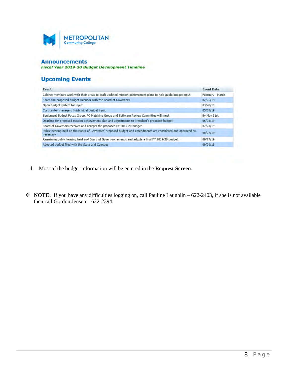

#### **Announcements**

Fiscal Year 2019-20 Budget Development Timeline

### **Upcoming Events**

| Event                                                                                                                     | <b>Event Date</b> |
|---------------------------------------------------------------------------------------------------------------------------|-------------------|
| Cabinet members work with their areas to draft updated mission achievement plans to help quide budget input               | February - March  |
| Share the proposed budget calendar with the Board of Governors                                                            | 02/26/19          |
| Open budget system for input                                                                                              | 03/28/19          |
| Cost center managers finish initial budget input                                                                          | 05/08/19          |
| Equipment Budget Focus Group, PC Matching Group and Software Review Committee will meet                                   | By May 31st       |
| Deadline for proposed mission achievement plan and adjustments to President's proposed budget                             | 06/28/19          |
| Board of Governors receives and accepts the proposed FY 2019-20 budget                                                    | 07/23/19          |
| Public hearing held on the Board of Governors' proposed budget and amendments are considered and approved as<br>necessary | 08/27/19          |
| Remaining public hearing held and Board of Governors amends and adopts a final FY 2019-20 budget                          | 09/17/19          |
| Adopted budget filed with the State and Counties                                                                          | 09/20/19          |
|                                                                                                                           |                   |

- 4. Most of the budget information will be entered in the **Request Screen**.
- **NOTE:** If you have any difficulties logging on, call Pauline Laughlin 622-2403, if she is not available then call Gordon Jensen – 622-2394.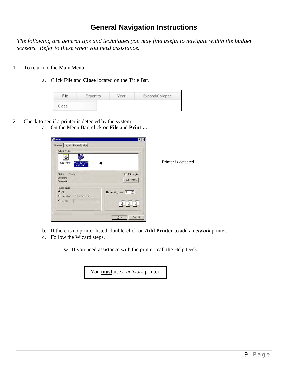### **General Navigation Instructions**

<span id="page-10-0"></span>*The following are general tips and techniques you may find useful to navigate within the budget screens. Refer to these when you need assistance.* 

- 1. To return to the Main Menu:
	- a. Click **File** and **Close** located on the Title Bar.

| File  | Export to |  | Expand/Collapse |
|-------|-----------|--|-----------------|
| Close |           |  |                 |

- 2. Check to see if a printer is detected by the system:
	- a. On the Menu Bar, click on **File** and **Print …**

| $P$ rint                                                                                     | ? X                                                                  |                     |
|----------------------------------------------------------------------------------------------|----------------------------------------------------------------------|---------------------|
| General Layout   Paper/Quality  <br>Select Printer<br>Add Printer<br>FOC16DV1 on:<br>PRTSVR5 |                                                                      | Printer is detected |
| Ready<br>Status:<br>Location:                                                                | $\Gamma$ Print to file<br>Find Printer                               |                     |
| <b>Comment:</b>                                                                              |                                                                      |                     |
| Page Range<br>$G$ All                                                                        | Number of copies: 1                                                  |                     |
| C Selection C Current Page                                                                   |                                                                      |                     |
| $C$ Pages:                                                                                   | $\begin{array}{ c c c c c }\hline & & & 2 & 3 \\ \hline \end{array}$ |                     |
|                                                                                              | Cancel<br>Print                                                      |                     |

- b. If there is no printer listed, double-click on **Add Printer** to add a *network* printer.
- c. Follow the Wizard steps.
	- If you need assistance with the printer, call the Help Desk.

You **must** use a *network* printer.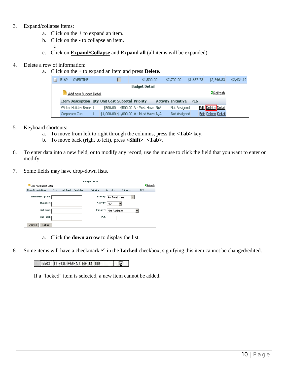#### 3. Expand/collapse items:

- a. Click on the **+** to expand an item.
- b. Click on the **-** to collapse an item. *-or-*
- c. Click on **Expand/Collapse** and **Expand all** (all items will be expanded).

#### 4. Delete a row of information:

a. Click on the + to expand an item and press **Delete.** 

| $\blacksquare$       | 5169          | <b>OVERTIME</b>                                  |  |          |  | \$1,500.00                              | \$2,700.00                 | \$1,637.73 | \$2,346.83         | \$2,434.19 |
|----------------------|---------------|--------------------------------------------------|--|----------|--|-----------------------------------------|----------------------------|------------|--------------------|------------|
| <b>Budget Detail</b> |               |                                                  |  |          |  |                                         |                            |            |                    |            |
|                      |               | Add new Budget Detail                            |  |          |  |                                         |                            |            | <b>2</b> Refresh   |            |
|                      |               | Item Description Qty Unit Cost Subtotal Priority |  |          |  |                                         | <b>Activity Initiative</b> | <b>PCS</b> |                    |            |
|                      |               | Winter Holiday Break 1                           |  | \$500.00 |  | \$500.00 A - Must Have N/A              | Not Assigned               |            | Edit Delete Detail |            |
|                      | Corporate Cup |                                                  |  |          |  | \$1,000.00 \$1,000.00 A - Must Have N/A | Not Assigned               |            | Edit Delete Detail |            |

- 5. Keyboard shortcuts:
	- a. To move from left to right through the columns, press the **<Tab>** key.
	- b. To move back (right to left), press **<Shift>+<Tab>**.
- 6. To enter data into a new field, or to modify any record, use the mouse to click the field that you want to enter or modify.
- 7. Some fields may have drop-down lists.

|                          |            |                  |          | Budget Detail   |                                |                   |                  |
|--------------------------|------------|------------------|----------|-----------------|--------------------------------|-------------------|------------------|
| Add new Budget Detail    |            |                  |          |                 |                                |                   | <b>2</b> Refresh |
| <b>Item Description</b>  | <b>Oty</b> | <b>Unit Cost</b> | Subtotal | <b>Priority</b> | <b>Activity</b>                | <b>Initiative</b> | PCS              |
| <b>Item Description:</b> |            |                  |          |                 | Priority: A - Must Have        |                   |                  |
| Quantity:                |            |                  |          |                 | Activity: $\boxed{\text{N/A}}$ |                   |                  |
| Unit Cost:               |            |                  |          |                 | Initiative Not Assigned        |                   |                  |
| SubTotal:                |            |                  |          |                 | PCS:                           |                   |                  |
| Update<br>Cancel         |            |                  |          |                 |                                |                   |                  |

- a. Click the **down arrow** to display the list.
- 8. Some items will have a checkmark  $\checkmark$  in the **Locked** checkbox, signifying this item cannot be changed/edited.

#### 5563 | IT EQUIPMENT GE \$1,000 宧

If a "locked" item is selected, a new item cannot be added.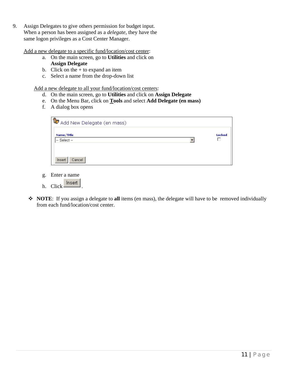9. Assign Delegates to give others permission for budget input. When a person has been assigned as a *delegate*, they have the same logon privileges as a Cost Center Manager.

Add a new delegate to a specific fund/location/cost center:

- a. On the main screen, go to **Utilities** and click on **Assign Delegate**
- b. Click on the  $+$  to expand an item
- c. Select a name from the drop-down list

Add a new delegate to all your fund/location/cost centers:

- d. On the main screen, go to **Utilities** and click on **Assign Delegate**
- e. On the Menu Bar, click on **Tools** and select **Add Delegate (en mass)**
- f. A dialog box opens

| <b>1 O</b> Add New Delegate (en mass)           |               |
|-------------------------------------------------|---------------|
| Name/Title<br>l-- Select --<br>Cancel<br>Insert | <b>Locked</b> |

- g. Enter a name
- h. Click heset
- **NOTE**: If you assign a delegate to **all** items (en mass), the delegate will have to be removed individually from each fund/location/cost center.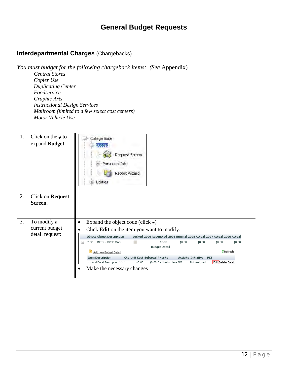### **General Budget Requests**

### <span id="page-13-1"></span><span id="page-13-0"></span>**Interdepartmental Charges** (Chargebacks)

*You must budget for the following chargeback items: (See* Appendix)  *Central Stores Copier Use Duplicating Center Foodservice Graphic Arts Instructional Design Services Mailroom (limited to a few select cost centers) Motor Vehicle Use* 

| 1. | Click on the $\rightarrow$ to<br>expand Budget.  | College Suite<br>Budget<br>Request Screen<br>Personnel Info<br>÷<br>Report Wizard<br><b>Utilities</b>                                                                                                                                                                                                                                                                                                                                                                                                                                                                                                                                          |
|----|--------------------------------------------------|------------------------------------------------------------------------------------------------------------------------------------------------------------------------------------------------------------------------------------------------------------------------------------------------------------------------------------------------------------------------------------------------------------------------------------------------------------------------------------------------------------------------------------------------------------------------------------------------------------------------------------------------|
| 2. | Click on Request<br>Screen.                      |                                                                                                                                                                                                                                                                                                                                                                                                                                                                                                                                                                                                                                                |
| 3. | To modify a<br>current budget<br>detail request: | Expand the object code (click $\star$ )<br>٠<br>Click Edit on the item you want to modify.<br><b>Object Object Descripition</b><br>Locked 2009 Requested 2008 Original 2008 Actual 2007 Actual 2006 Actual<br>INSTR - OVERLOAD<br>г<br>5102<br>\$0.00<br>\$0.00<br>\$0.00<br>\$0.00<br>\$0.00<br>$\equiv$<br><b>Budget Detail</b><br><b>Z</b> Refresh<br>Add new Budget Detail<br><b>Item Description</b><br><b>Qty Unit Cost Subtotal Priority</b><br><b>Activity Initiative</b><br><b>PCS</b><br>Edit Delete Detail<br><< Add Detail Description >> 1<br>\$0.00 C - Nice to Have N/A<br>\$0.00<br>Not Assigned<br>Make the necessary changes |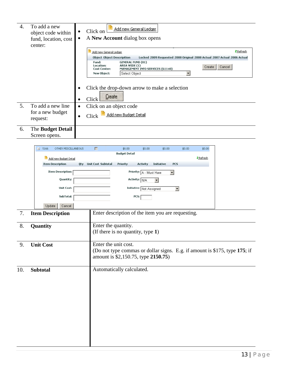| 4. | To add a new<br>object code within<br>fund, location, cost<br>center: | Add new General Ledger<br>Click on<br>$\bullet$<br>A New Account dialog box opens<br>$\bullet$                                                                                                         |
|----|-----------------------------------------------------------------------|--------------------------------------------------------------------------------------------------------------------------------------------------------------------------------------------------------|
|    |                                                                       | <mark>2</mark> Refresh<br>Add new General Ledger                                                                                                                                                       |
|    |                                                                       | <b>Object Object Descripition</b><br>Locked 2009 Requested 2008 Original 2008 Actual 2007 Actual 2006 Actual                                                                                           |
|    |                                                                       | <b>GENERAL FUND (01)</b><br>Fund:<br>AREA WIDE (1)<br>Location:<br>Cancel<br>Create<br><b>Cost Center:</b><br>MANAGEMENT INFO SERVICES (61140)<br>Select Object<br>$\blacktriangledown$<br>New Object: |
|    |                                                                       | Click the drop-down arrow to make a selection<br>$\bullet$<br>Create<br>Click<br>$\bullet$                                                                                                             |
| 5. | To add a new line                                                     | Click on an object code<br>$\bullet$                                                                                                                                                                   |
|    | for a new budget<br>request:                                          | Add new Budget Detail<br>Click<br>$\bullet$                                                                                                                                                            |
| 6. | The Budget Detail                                                     |                                                                                                                                                                                                        |
|    | Screen opens.                                                         |                                                                                                                                                                                                        |

|     |                  | $-$ 5166                 |                         | OTHER MISCELLANEOUS |                      | г                             | \$0.00                                                                     | \$0.00                  | \$0.00                  |                     | \$0.00 | \$0.00 |  |
|-----|------------------|--------------------------|-------------------------|---------------------|----------------------|-------------------------------|----------------------------------------------------------------------------|-------------------------|-------------------------|---------------------|--------|--------|--|
|     |                  | Add new Budget Detail    |                         |                     | <b>Budget Detail</b> |                               |                                                                            |                         | Refresh                 |                     |        |        |  |
|     |                  |                          | <b>Item Description</b> |                     |                      | <b>Qty</b> Unit Cost Subtotal | Priority                                                                   | <b>Activity</b>         | <b>Initiative</b>       | <b>PCS</b>          |        |        |  |
|     |                  | <b>Item Description:</b> |                         |                     |                      |                               | Priority: A - Must Have                                                    |                         | $\overline{\mathbf{r}}$ |                     |        |        |  |
|     |                  |                          |                         | Quantity:           |                      |                               |                                                                            | Activity: N/A           | $\mathbf{r}$            |                     |        |        |  |
|     |                  |                          |                         | <b>Unit Cost:</b>   |                      |                               |                                                                            | Initiative Not Assigned |                         | $\vert \cdot \vert$ |        |        |  |
|     |                  |                          |                         | SubTotal:           |                      |                               |                                                                            | PCS:                    |                         |                     |        |        |  |
|     |                  |                          | Update                  | Cancel              |                      |                               |                                                                            |                         |                         |                     |        |        |  |
| 7.  |                  |                          | <b>Item Description</b> |                     |                      |                               | Enter description of the item you are requesting.                          |                         |                         |                     |        |        |  |
| 8.  | Quantity         |                          |                         |                     |                      |                               | Enter the quantity.                                                        |                         |                         |                     |        |        |  |
|     |                  |                          |                         |                     |                      |                               | (If there is no quantity, type 1)                                          |                         |                         |                     |        |        |  |
|     |                  |                          |                         |                     |                      |                               |                                                                            |                         |                         |                     |        |        |  |
| 9.  | <b>Unit Cost</b> |                          |                         |                     |                      |                               | Enter the unit cost.                                                       |                         |                         |                     |        |        |  |
|     |                  |                          |                         |                     |                      |                               | (Do not type commas or dollar signs. E.g. if amount is \$175, type 175; if |                         |                         |                     |        |        |  |
|     |                  |                          |                         |                     |                      |                               | amount is \$2,150.75, type 2150.75)                                        |                         |                         |                     |        |        |  |
|     |                  |                          |                         |                     |                      |                               |                                                                            |                         |                         |                     |        |        |  |
| 10. | <b>Subtotal</b>  |                          |                         |                     |                      |                               | Automatically calculated.                                                  |                         |                         |                     |        |        |  |
|     |                  |                          |                         |                     |                      |                               |                                                                            |                         |                         |                     |        |        |  |
|     |                  |                          |                         |                     |                      |                               |                                                                            |                         |                         |                     |        |        |  |
|     |                  |                          |                         |                     |                      |                               |                                                                            |                         |                         |                     |        |        |  |
|     |                  |                          |                         |                     |                      |                               |                                                                            |                         |                         |                     |        |        |  |
|     |                  |                          |                         |                     |                      |                               |                                                                            |                         |                         |                     |        |        |  |
|     |                  |                          |                         |                     |                      |                               |                                                                            |                         |                         |                     |        |        |  |
|     |                  |                          |                         |                     |                      |                               |                                                                            |                         |                         |                     |        |        |  |
|     |                  |                          |                         |                     |                      |                               |                                                                            |                         |                         |                     |        |        |  |
|     |                  |                          |                         |                     |                      |                               |                                                                            |                         |                         |                     |        |        |  |
|     |                  |                          |                         |                     |                      |                               |                                                                            |                         |                         |                     |        |        |  |
|     |                  |                          |                         |                     |                      |                               |                                                                            |                         |                         |                     |        |        |  |
|     |                  |                          |                         |                     |                      |                               |                                                                            |                         |                         |                     |        |        |  |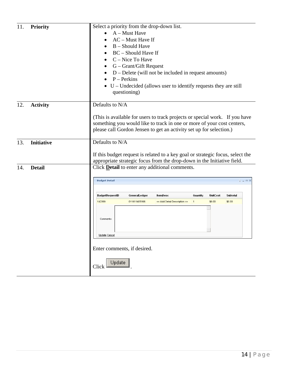| 11.<br><b>Priority</b>   | Select a priority from the drop-down list.<br>$A$ – Must Have<br>AC - Must Have If<br>$B -$ Should Have<br>BC - Should Have If<br>C - Nice To Have<br>G – Grant/Gift Request<br>٠<br>D – Delete (will not be included in request amounts)<br>$P - Perkins$<br>$U$ – Undecided (allows user to identify requests they are still<br>questioning)                                   |
|--------------------------|----------------------------------------------------------------------------------------------------------------------------------------------------------------------------------------------------------------------------------------------------------------------------------------------------------------------------------------------------------------------------------|
| 12.<br><b>Activity</b>   | Defaults to N/A<br>(This is available for users to track projects or special work. If you have<br>something you would like to track in one or more of your cost centers,<br>please call Gordon Jensen to get an activity set up for selection.)                                                                                                                                  |
| 13.<br><b>Initiative</b> | Defaults to N/A<br>If this budget request is related to a key goal or strategic focus, select the<br>appropriate strategic focus from the drop-down in the Initiative field.                                                                                                                                                                                                     |
| <b>Detail</b><br>14.     | Click Detail to enter any additional comments.<br><b>Budget Detail</b><br>$\Phi = \Box X$<br>BudgetRequestID<br><b>ItemDesc</b><br>Quantity<br><b>UnitCost</b><br><b>Subtotal</b><br>GeneralLedger<br>142269<br>011611405166<br><< Add Detail Description >><br>$\mathbf{1}$<br>\$0.00<br>\$0.00<br>Comments:<br>Update Cancel<br>Enter comments, if desired.<br>Update<br>Click |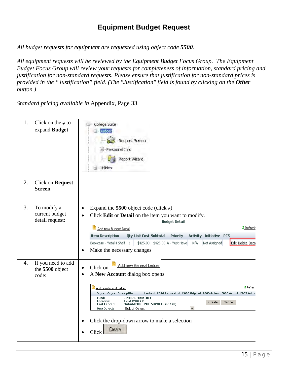### **Equipment Budget Request**

<span id="page-16-0"></span>*All budget requests for equipment are requested using object code 5500.* 

*All equipment requests will be reviewed by the Equipment Budget Focus Group. The Equipment Budget Focus Group will review your requests for completeness of information, standard pricing and justification for non-standard requests. Please ensure that justification for non-standard prices is provided in the "Justification" field. (The "Justification" field is found by clicking on the Other button.)* 

*Standard pricing available in* Appendix, Page 33.

| 1. | Click on the $\div$ to<br>expand Budget          | College Suite<br>Budget<br>Request Screen<br>Personnel Info<br>÷.<br>Report Wizard<br><b>Utilities</b>                                                                                                                                                                                                                                                                                                                                                                                                                                                     |
|----|--------------------------------------------------|------------------------------------------------------------------------------------------------------------------------------------------------------------------------------------------------------------------------------------------------------------------------------------------------------------------------------------------------------------------------------------------------------------------------------------------------------------------------------------------------------------------------------------------------------------|
| 2. | Click on Request<br><b>Screen</b>                |                                                                                                                                                                                                                                                                                                                                                                                                                                                                                                                                                            |
| 3. | To modify a<br>current budget<br>detail request: | Expand the 5500 object code (click $\rightarrow$ )<br>$\bullet$<br>Click Edit or Detail on the item you want to modify.<br><b>Budget Detail</b><br><b>Z</b> Refrest<br>Add new Budget Detail<br><b>Item Description</b><br><b>Qty Unit Cost Subtotal</b><br><b>Activity Initiative PCS</b><br><b>Priority</b><br>Bookcase - Metal 4 Shelf   1<br>\$425.00<br>Edit Delete Deta<br>\$425.00 A - Must Have<br>N/A<br>Not Assigned<br>Make the necessary changes<br>$\bullet$                                                                                  |
| 4. | If you need to add<br>the 5500 object<br>code:   | Add new General Ledger<br>Click on<br>$\bullet$<br>A New Account dialog box opens<br>$\bullet$<br><b>Z</b> Refrest<br>Add new General Ledger<br><b>Object Object Descripition</b><br>Locked 2010 Requested 2009 Original 2009 Actual 2008 Actual 2007 Actua<br>Fund:<br><b>GENERAL FUND (01)</b><br>Location:<br>AREA WIDE (1)<br>Cancel<br>Create<br>MANAGEMENT INFO SERVICES (61140)<br><b>Cost Center:</b><br>$\overline{\phantom{a}}$<br>New Object:<br>Select Object<br>Click the drop-down arrow to make a selection<br>$\bullet$<br>Create<br>Click |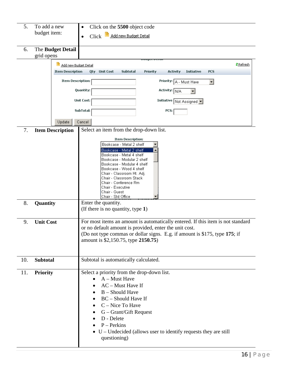| 5.<br>To add a new<br>budget item: |                  |                          | Click on the 5500 object code<br>$\bullet$                                                                   |  |  |  |  |
|------------------------------------|------------------|--------------------------|--------------------------------------------------------------------------------------------------------------|--|--|--|--|
|                                    |                  |                          | Click <b>Add new Budget Detail</b><br>$\bullet$                                                              |  |  |  |  |
|                                    |                  |                          |                                                                                                              |  |  |  |  |
| 6.                                 |                  | The Budget Detail        |                                                                                                              |  |  |  |  |
|                                    | grid opens       |                          |                                                                                                              |  |  |  |  |
|                                    |                  | Add new Budget Detail    | <b>Z</b> Refresh                                                                                             |  |  |  |  |
|                                    |                  | <b>Item Description</b>  | Priority<br><b>Activity</b><br><b>Qty</b><br><b>Unit Cost</b><br>Subtotal<br><b>Initiative</b><br><b>PCS</b> |  |  |  |  |
|                                    |                  | <b>Item Description:</b> | Priority: A - Must Have<br>▾                                                                                 |  |  |  |  |
|                                    |                  |                          | Quantity:<br>Activity: N/A                                                                                   |  |  |  |  |
|                                    |                  |                          | Unit Cost:<br>Initiative Not Assigned                                                                        |  |  |  |  |
|                                    |                  |                          | SubTotal:<br>PCS:                                                                                            |  |  |  |  |
|                                    |                  |                          |                                                                                                              |  |  |  |  |
|                                    |                  | Update                   | Cancel                                                                                                       |  |  |  |  |
| 7.                                 |                  | <b>Item Description</b>  | Select an item from the drop-down list.                                                                      |  |  |  |  |
|                                    |                  |                          | <b>Item Description:</b>                                                                                     |  |  |  |  |
|                                    |                  |                          | Bookcase - Metal 2 shelf                                                                                     |  |  |  |  |
|                                    |                  |                          | Bookcase - Metal 2 shelf<br>Bookcase - Metal 4 shelf                                                         |  |  |  |  |
|                                    |                  |                          | Bookcase - Modular 2 shelf                                                                                   |  |  |  |  |
|                                    |                  |                          | Bookcase - Modular 4 shelf<br>Bookcase - Wood 4 shelf                                                        |  |  |  |  |
|                                    |                  |                          | Chair - Classroom Ht. Adj.<br>Chair - Classroom Stack                                                        |  |  |  |  |
|                                    |                  |                          | Chair - Conference Rm                                                                                        |  |  |  |  |
|                                    |                  |                          | Chair - Executive<br>Chair - Guest                                                                           |  |  |  |  |
|                                    |                  |                          | Chair - Std Office                                                                                           |  |  |  |  |
| 8.                                 | Quantity         |                          | Enter the quantity.                                                                                          |  |  |  |  |
|                                    |                  |                          | (If there is no quantity, type 1)                                                                            |  |  |  |  |
| 9.                                 | <b>Unit Cost</b> |                          | For most items an amount is automatically entered. If this item is not standard                              |  |  |  |  |
|                                    |                  |                          | or no default amount is provided, enter the unit cost.                                                       |  |  |  |  |
|                                    |                  |                          | (Do not type commas or dollar signs. E.g. if amount is \$175, type 175; if                                   |  |  |  |  |
|                                    |                  |                          | amount is \$2,150.75, type 2150.75)                                                                          |  |  |  |  |
|                                    |                  |                          |                                                                                                              |  |  |  |  |
|                                    |                  |                          | Subtotal is automatically calculated.                                                                        |  |  |  |  |
| 10.                                | <b>Subtotal</b>  |                          |                                                                                                              |  |  |  |  |
| 11.                                | <b>Priority</b>  |                          | Select a priority from the drop-down list.                                                                   |  |  |  |  |
|                                    |                  |                          | A - Must Have                                                                                                |  |  |  |  |
|                                    |                  |                          | AC - Must Have If                                                                                            |  |  |  |  |
|                                    |                  |                          | B - Should Have                                                                                              |  |  |  |  |
|                                    |                  |                          | BC – Should Have If                                                                                          |  |  |  |  |
|                                    |                  |                          | C - Nice To Have                                                                                             |  |  |  |  |
|                                    |                  |                          | G – Grant/Gift Request<br>D - Delete                                                                         |  |  |  |  |
|                                    |                  |                          | $P -$ Perkins                                                                                                |  |  |  |  |
|                                    |                  |                          | $\bullet$ U – Undecided (allows user to identify requests they are still                                     |  |  |  |  |
|                                    |                  |                          | questioning)                                                                                                 |  |  |  |  |
|                                    |                  |                          |                                                                                                              |  |  |  |  |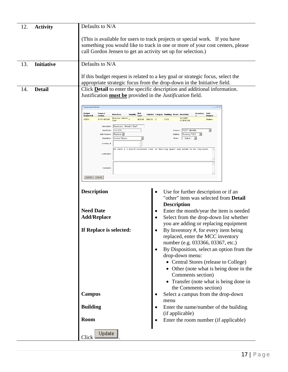| 12.<br><b>Activity</b>   | Defaults to N/A                                                                                                                                                                                                                                                                                                                                                                                                 |                                                                                                                                                                                                                                                                                                                                                                                                                                                                                                                                                                                     |  |  |  |  |  |  |
|--------------------------|-----------------------------------------------------------------------------------------------------------------------------------------------------------------------------------------------------------------------------------------------------------------------------------------------------------------------------------------------------------------------------------------------------------------|-------------------------------------------------------------------------------------------------------------------------------------------------------------------------------------------------------------------------------------------------------------------------------------------------------------------------------------------------------------------------------------------------------------------------------------------------------------------------------------------------------------------------------------------------------------------------------------|--|--|--|--|--|--|
|                          |                                                                                                                                                                                                                                                                                                                                                                                                                 | (This is available for users to track projects or special work. If you have<br>something you would like to track in one or more of your cost centers, please<br>call Gordon Jensen to get an activity set up for selection.)                                                                                                                                                                                                                                                                                                                                                        |  |  |  |  |  |  |
| 13.<br><b>Initiative</b> | Defaults to N/A                                                                                                                                                                                                                                                                                                                                                                                                 |                                                                                                                                                                                                                                                                                                                                                                                                                                                                                                                                                                                     |  |  |  |  |  |  |
|                          |                                                                                                                                                                                                                                                                                                                                                                                                                 | If this budget request is related to a key goal or strategic focus, select the<br>appropriate strategic focus from the drop-down in the Initiative field.                                                                                                                                                                                                                                                                                                                                                                                                                           |  |  |  |  |  |  |
| <b>Detail</b><br>14.     |                                                                                                                                                                                                                                                                                                                                                                                                                 | Click <b>Detail</b> to enter the specific description and additional information.<br>Justification <b>must be</b> provided in the <i>Justification</i> field.                                                                                                                                                                                                                                                                                                                                                                                                                       |  |  |  |  |  |  |
|                          | <b>Equipment Detail</b><br><b>Budget</b><br><b>General</b><br>Unit<br>Quantity<br>tem Desc<br>Cost<br><b>Request ID</b><br>Ledger<br>Bookcase - Metal 4<br>155615<br>011611405500<br><b>Shelt</b><br>Bookcase - Metal 4 Shelf<br>Description:<br>12/1/2009<br>Need Date<br>Add / Replace:<br>Replace <b>-</b><br>Central Stores<br>Disposition:<br>Inventory #<br>Justification<br>Comments<br>Update<br>Cancel | $$ X$<br>Add /<br>Inventory<br>Subtotal Campus Building Room Heed Date<br>Replace<br>12/1/2009<br>\$425.00 \$425.00 2<br>FOC <sub>2</sub><br>Replace<br>12:00:00 AM<br>FORT OMAHA<br>$\overline{\phantom{a}}$<br>Campus:<br>Building FOC2<br>$\vert \cdot \vert$<br>-- Select -- -<br>We have a 4-shelf bookcase that is falling apart and needs to be replaced.                                                                                                                                                                                                                    |  |  |  |  |  |  |
|                          | <b>Description</b><br><b>Need Date</b><br><b>Add/Replace</b><br>If Replace is selected:                                                                                                                                                                                                                                                                                                                         | Use for further description or if an<br>"other" item was selected from Detail<br><b>Description</b><br>Enter the month/year the item is needed<br>Select from the drop-down list whether<br>$\bullet$<br>you are adding or replacing equipment<br>By Inventory #, for every item being<br>replaced, enter the MCC inventory<br>number (e.g. 033366, 03367, etc.)<br>By Disposition, select an option from the<br>drop-down menu:<br>• Central Stores (release to College)<br>• Other (note what is being done in the<br>Comments section)<br>• Transfer (note what is being done in |  |  |  |  |  |  |
|                          | <b>Campus</b>                                                                                                                                                                                                                                                                                                                                                                                                   | the Comments section)<br>Select a campus from the drop-down<br>menu                                                                                                                                                                                                                                                                                                                                                                                                                                                                                                                 |  |  |  |  |  |  |
|                          | <b>Building</b><br>Room                                                                                                                                                                                                                                                                                                                                                                                         | Enter the name/number of the building<br>$\bullet$<br>(if applicable)<br>Enter the room number (if applicable)<br>$\bullet$                                                                                                                                                                                                                                                                                                                                                                                                                                                         |  |  |  |  |  |  |
|                          | Update<br>Click                                                                                                                                                                                                                                                                                                                                                                                                 |                                                                                                                                                                                                                                                                                                                                                                                                                                                                                                                                                                                     |  |  |  |  |  |  |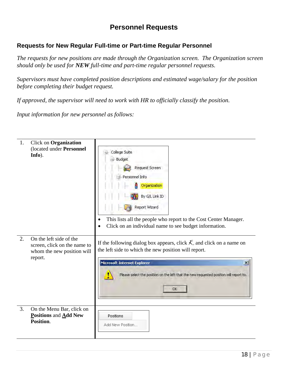### **Personnel Requests**

### <span id="page-19-1"></span><span id="page-19-0"></span>**Requests for New Regular Full-time or Part-time Regular Personnel**

*The requests for new positions are made through the Organization screen. The Organization screen should only be used for NEW full-time and part-time regular personnel requests.* 

*Supervisors must have completed position descriptions and estimated wage/salary for the position before completing their budget request.* 

*If approved, the supervisor will need to work with HR to officially classify the position.* 

*Input information for new personnel as follows:* 

| 1. | <b>Click on Organization</b><br>(located under Personnel<br>Info).                               | College Suite<br>- Budget<br>Request Screen<br>Personnel Info<br>Organization<br>By G/L Link ID<br>Report Wizard<br>This lists all the people who report to the Cost Center Manager.<br>Click on an individual name to see budget information.                                            |
|----|--------------------------------------------------------------------------------------------------|-------------------------------------------------------------------------------------------------------------------------------------------------------------------------------------------------------------------------------------------------------------------------------------------|
| 2. | On the left side of the<br>screen, click on the name to<br>whom the new position will<br>report. | If the following dialog box appears, click $\mathcal{K}$ and click on a name on<br>the left side to which the new position will report.<br>Microsoft Internet Explorer<br>$\vert x \vert$<br>Please select the position on the left that the new requested position will report to.<br>OK |
| 3. | On the Menu Bar, click on<br>Positions and Add New<br>Position.                                  | Positions<br>Add New Position                                                                                                                                                                                                                                                             |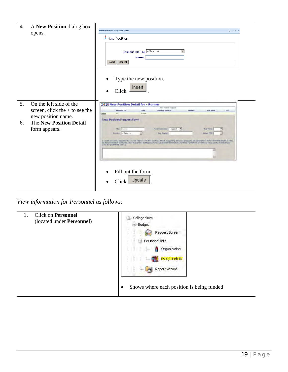| 4.       | A New Position dialog box<br>opens.                                                                                                  | <b>New Position Request Form</b><br>$2 - 1$ $\times$<br><b>B</b> New Position<br>Responsible To: - Select --<br>▼<br>Name:<br>Cancel<br>Insert<br>Type the new position.<br>Insert<br>Click                                                                                                                                                                                                                                                                                                                                                                                                                                                                                                                                                                    |
|----------|--------------------------------------------------------------------------------------------------------------------------------------|----------------------------------------------------------------------------------------------------------------------------------------------------------------------------------------------------------------------------------------------------------------------------------------------------------------------------------------------------------------------------------------------------------------------------------------------------------------------------------------------------------------------------------------------------------------------------------------------------------------------------------------------------------------------------------------------------------------------------------------------------------------|
| 5.<br>6. | On the left side of the<br>screen, click the $+$ to see the<br>new position name.<br><b>The New Position Detail</b><br>form appears. | 2010 New Position Detail for - Runner<br><b>New Postorn Findued</b><br><b>Registed 1D</b><br><b>Side</b><br>Funding Source<br>Full firm<br><b>FTE</b><br><b>Philanelly</b><br>362<br><b>Pumer</b><br>Celebe<br><b>New Position Request Form</b><br>Foreign Sineter) - Select - X<br>Title:<br><b>Tull Time:</b><br>Frimmy: - Select -<br>Pay, Grade)<br>Address FTS<br>国<br>1. State problem / apportunity you will address with this position. Attach supporting data and proposed job description. Note estimated recipit of ceed.<br>Claba/Information avangates. Now the relieve to Massin and Gasto Societyned Trends: Full-time / part-time credit floor rates sixtly and revenues<br>er the past three users 3<br>Fill out the form.<br>Update<br>Click |

*View information for Personnel as follows:* 

| <b>Click on Personnel</b><br>1.<br>(located under Personnel) | College Suite<br>- Budget<br>Request Screen<br>Personnel Info<br>Organization<br>ž<br>By G/L Link ID<br>Report Wizard<br>马<br>Shows where each position is being funded<br>$\bullet$ |
|--------------------------------------------------------------|--------------------------------------------------------------------------------------------------------------------------------------------------------------------------------------|
|--------------------------------------------------------------|--------------------------------------------------------------------------------------------------------------------------------------------------------------------------------------|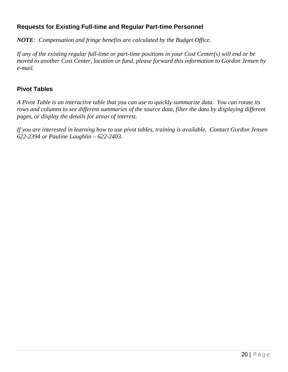### <span id="page-21-0"></span>**Requests for Existing Full-time and Regular Part-time Personnel**

*NOTE: Compensation and fringe benefits are calculated by the Budget Office.* 

*If any of the existing regular full-time or part-time positions in your Cost Center(s) will end or be moved to another Cost Center, location or fund, please forward this information to Gordon Jensen by e-mail.* 

### <span id="page-21-1"></span>**Pivot Tables**

*A Pivot Table is an interactive table that you can use to quickly summarize data. You can rotate its rows and columns to see different summaries of the source data, filter the data by displaying different pages, or display the details for areas of interest.* 

*If you are interested in learning how to use pivot tables, training is available. Contact Gordon Jensen 622-2394 or Pauline Laughlin – 622-2403.*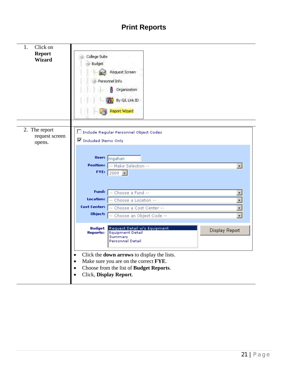# **Print Reports**

<span id="page-22-0"></span>

| 1.<br>Click on<br><b>Report</b><br><b>Wizard</b> | - College Suite<br>-- Budget<br>Request Screen<br>Personnel Info.<br>Organization<br>By G/L Link ID<br><b>Report Wizard</b>                                                                                                                                |
|--------------------------------------------------|------------------------------------------------------------------------------------------------------------------------------------------------------------------------------------------------------------------------------------------------------------|
| 2. The report<br>request screen<br>opens.        | □ Include Regular Personnel Object Codes<br>Included Items Only                                                                                                                                                                                            |
|                                                  | User: mgahan<br><b>Position:</b><br>-- Make Selection --<br>$\vert$<br>FYE: $2009$ $\rightarrow$                                                                                                                                                           |
|                                                  | Fund:<br>-- Choose a Fund --<br>$\overline{\phantom{a}}$<br>$\overline{\cdot}$<br>Location:<br>-- Choose a Location --<br>$\overline{\cdot}$<br>Cost Center:<br>-- Choose a Cost Center --<br>Object:<br>$\overline{\cdot}$<br>-- Choose an Object Code -- |
|                                                  | <b>Budget</b><br>Request Detail w/o Equipment<br>Display Report<br><b>Reports:</b><br><b>Equipment Detail</b><br>Summary<br><b>Personnel Detail</b>                                                                                                        |
|                                                  | Click the <b>down arrows</b> to display the lists.<br>$\bullet$<br>Make sure you are on the correct FYE.<br>$\bullet$<br>Choose from the list of Budget Reports.<br>Click, Display Report.                                                                 |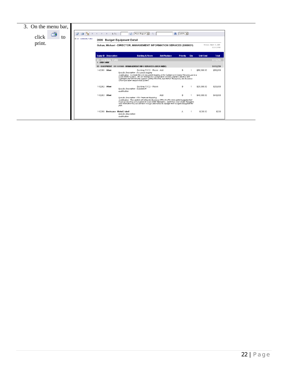| 3. On the menu bar,<br>∸<br>click<br>tο | ٦g<br>æ<br>召<br>FI-01 - GENERAL FUND | 1/1<br>2009                        | ۰5<br>Main Report<br><b>Budget Equipment Detail</b>                                                                                                                                                                                                                                                                                                                                                      | 曲                  | $100\%$ -       |     |                  |                                      |
|-----------------------------------------|--------------------------------------|------------------------------------|----------------------------------------------------------------------------------------------------------------------------------------------------------------------------------------------------------------------------------------------------------------------------------------------------------------------------------------------------------------------------------------------------------|--------------------|-----------------|-----|------------------|--------------------------------------|
| print.                                  |                                      |                                    | Gahan, Michael - DIRECTOR, MANAGEMENT INFORMATION SERVICES (0000031)                                                                                                                                                                                                                                                                                                                                     |                    |                 |     |                  | Monday, March 3, 2008<br>12:01:29 PM |
|                                         |                                      | <b>Equip ID</b> Description        | <b>Building &amp; Room</b>                                                                                                                                                                                                                                                                                                                                                                               | <b>Add/Replace</b> | <b>Priority</b> | Qty | <b>Unit Cost</b> | <b>Total</b>                         |
|                                         |                                      | 01 - GENERAL FUND<br>1 - AREA WIDE |                                                                                                                                                                                                                                                                                                                                                                                                          |                    |                 |     |                  | \$115,230                            |
|                                         |                                      |                                    | 55 - EQUIPMENT 01 1 61140 - MANAGEMENT INFO SERVICES (AREA WIDE)                                                                                                                                                                                                                                                                                                                                         |                    |                 |     |                  | \$115,230                            |
|                                         |                                      | 142261 Other                       | Building FOC2 - Room Add<br>Specific Description: Document Imaging<br>Justification: Currently the only document imaging at the College is in Central Records and it is<br>a very limited system. We are looking at a College-wide solution, that will interface with<br>Colleague and will not only support Central Records, but Human Resources, the Business<br>Office and other departments as well. |                    | в               |     | \$50,000.00      | \$50,000                             |
|                                         |                                      | 142262 Other                       | Building FOC2 - Room<br>Specific Description: Schedule25<br>Justification:                                                                                                                                                                                                                                                                                                                               |                    | θ.              |     | \$25,000.00      | \$25,000                             |
|                                         |                                      | 142263 Other                       | Specific Description: FRx Financial Reporting<br>Justification: This system will allow the Business Office to offer more detail budget/actual<br>financial reporting and analysis to Cost Center Managers. Input from Cost Center Managers<br>have inidicated they did not have enough information to manage their budgets thoughout the<br>vear.                                                        | Add                | в               |     | \$40,000.00      | \$40,000                             |
|                                         |                                      | 142266 Bookcase - Metal 2 shelf    | Specific Description:<br>Justification:                                                                                                                                                                                                                                                                                                                                                                  |                    | Α               |     | \$230.00         | \$230                                |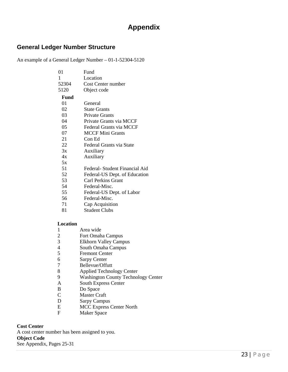## **Appendix**

### <span id="page-24-1"></span><span id="page-24-0"></span>**General Ledger Number Structure**

An example of a General Ledger Number – 01-1-52304-5120

| 01                       | Fund                                       |
|--------------------------|--------------------------------------------|
| 1                        | Location                                   |
| 52304                    | Cost Center number                         |
| 5120                     | Object code                                |
| Fund                     |                                            |
| 01                       | General                                    |
| 02                       | <b>State Grants</b>                        |
| 03                       | <b>Private Grants</b>                      |
| 04                       | Private Grants via MCCF                    |
| 05                       | Federal Grants via MCCF                    |
| 07                       | <b>MCCF Mini Grants</b>                    |
| 21                       | Con Ed                                     |
| 22                       | Federal Grants via State                   |
| 3x                       | Auxiliary                                  |
| 4x                       | Auxiliary                                  |
| 5x                       |                                            |
| 51                       | Federal- Student Financial Aid             |
| 52                       | Federal-US Dept. of Education              |
| 53                       | Carl Perkins Grant                         |
| 54                       | Federal-Misc.                              |
| 55                       | Federal-US Dept. of Labor                  |
| 56                       | Federal-Misc.                              |
| 71                       | Cap Acquisition                            |
| 81                       | <b>Student Clubs</b>                       |
|                          |                                            |
| Location                 |                                            |
| 1                        | Area wide                                  |
| $\overline{c}$           | Fort Omaha Campus                          |
| 3                        | <b>Elkhorn Valley Campus</b>               |
| $\overline{\mathcal{A}}$ | South Omaha Campus                         |
| 5                        | <b>Fremont Center</b>                      |
| 6                        | <b>Sarpy Center</b>                        |
| 7                        | Bellevue/Offutt                            |
| 8<br>9                   | <b>Applied Technology Center</b>           |
| $\overline{A}$           | <b>Washington County Technology Center</b> |
| $\mathbf B$              | <b>South Express Center</b>                |
| $\overline{C}$           | Do Space<br><b>Master Craft</b>            |
| D                        |                                            |
|                          | <b>Sarpy Campus</b>                        |

E MCC Express Center North<br>F Maker Space **Maker Space** 

<span id="page-24-5"></span><span id="page-24-4"></span><span id="page-24-3"></span><span id="page-24-2"></span>**Cost Center** A cost center number has been assigned to you. **Object Code** See Appendix, Pages 25-31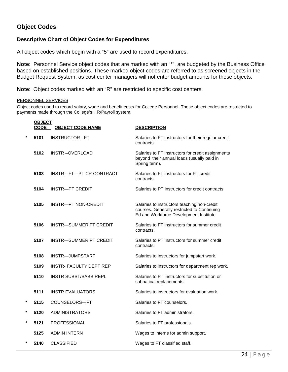### **Object Codes**

#### **Descriptive Chart of Object Codes for Expenditures**

All object codes which begin with a "5" are used to record expenditures.

**Note**: Personnel Service object codes that are marked with an "\*", are budgeted by the Business Office based on established positions. These marked object codes are referred to as screened objects in the Budget Request System, as cost center managers will not enter budget amounts for these objects.

**Note**: Object codes marked with an "R" are restricted to specific cost centers.

#### PERSONNEL SERVICES

Object codes used to record salary, wage and benefit costs for College Personnel. These object codes are restricted to payments made through the College's HR/Payroll system.

|         | <b>OBJECT</b><br><b>CODE</b> | <b>OBJECT CODE NAME</b>       | <b>DESCRIPTION</b>                                                                                                                    |
|---------|------------------------------|-------------------------------|---------------------------------------------------------------------------------------------------------------------------------------|
| $\star$ | 5101                         | <b>INSTRUCTOR - FT</b>        | Salaries to FT instructors for their regular credit<br>contracts.                                                                     |
|         | 5102                         | <b>INSTR-OVERLOAD</b>         | Salaries to FT instructors for credit assignments<br>beyond their annual loads (usually paid in<br>Spring term).                      |
|         | 5103                         | INSTR—FT—PT CR CONTRACT       | Salaries to FT instructors for PT credit<br>contracts.                                                                                |
|         | 5104                         | <b>INSTR-PT CREDIT</b>        | Salaries to PT instructors for credit contracts.                                                                                      |
|         | 5105                         | INSTR-PT NON-CREDIT           | Salaries to instructors teaching non-credit<br>courses. Generally restricted to Continuing<br>Ed and Workforce Development Institute. |
|         | 5106                         | <b>INSTR-SUMMER FT CREDIT</b> | Salaries to FT instructors for summer credit<br>contracts.                                                                            |
|         | 5107                         | <b>INSTR-SUMMER PT CREDIT</b> | Salaries to PT instructors for summer credit<br>contracts.                                                                            |
|         | 5108                         | INSTR-JUMPSTART               | Salaries to instructors for jumpstart work.                                                                                           |
|         | 5109                         | <b>INSTR-FACULTY DEPT REP</b> | Salaries to instructors for department rep work.                                                                                      |
|         | 5110                         | <b>INSTR SUBST/SABB REPL</b>  | Salaries to PT instructors for substitution or<br>sabbatical replacements.                                                            |
|         | 5111                         | <b>INSTR EVALUATORS</b>       | Salaries to instructors for evaluation work.                                                                                          |
| *       | 5115                         | COUNSELORS-FT                 | Salaries to FT counselors.                                                                                                            |
| *       | 5120                         | <b>ADMINISTRATORS</b>         | Salaries to FT administrators.                                                                                                        |
| $\star$ | 5121                         | PROFESSIONAL                  | Salaries to FT professionals.                                                                                                         |
|         | 5125                         | <b>ADMIN INTERN</b>           | Wages to interns for admin support.                                                                                                   |
| $\star$ | 5140                         | <b>CLASSIFIED</b>             | Wages to FT classified staff.                                                                                                         |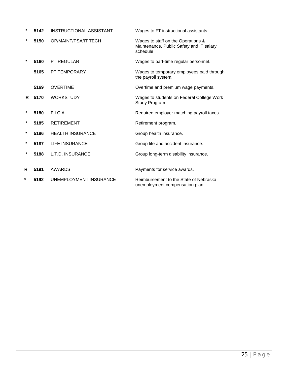| $\star$ | 5142 | <b>INSTRUCTIONAL ASSISTANT</b> | Wages to FT instructional assistants.                                                       |
|---------|------|--------------------------------|---------------------------------------------------------------------------------------------|
| $\star$ | 5150 | <b>OP/MAINT/PSA/IT TECH</b>    | Wages to staff on the Operations &<br>Maintenance, Public Safety and IT salary<br>schedule. |
| $\star$ | 5160 | <b>PT REGULAR</b>              | Wages to part-time regular personnel.                                                       |
|         | 5165 | <b>PT TEMPORARY</b>            | Wages to temporary employees paid through<br>the payroll system.                            |
|         | 5169 | <b>OVERTIME</b>                | Overtime and premium wage payments.                                                         |
| R.      | 5170 | <b>WORKSTUDY</b>               | Wages to students on Federal College Work<br>Study Program.                                 |
| *       | 5180 | F.I.C.A.                       | Required employer matching payroll taxes.                                                   |
| *       | 5185 | <b>RETIREMENT</b>              | Retirement program.                                                                         |
| $\star$ | 5186 | <b>HEALTH INSURANCE</b>        | Group health insurance.                                                                     |
| $\star$ | 5187 | <b>LIFE INSURANCE</b>          | Group life and accident insurance.                                                          |
| *       | 5188 | L.T.D. INSURANCE               | Group long-term disability insurance.                                                       |
| R       | 5191 | AWARDS                         |                                                                                             |
|         |      |                                | Payments for service awards.                                                                |
| *       | 5192 | UNEMPLOYMENT INSURANCE         | Reimbursement to the State of Nebraska<br>unemployment compensation plan.                   |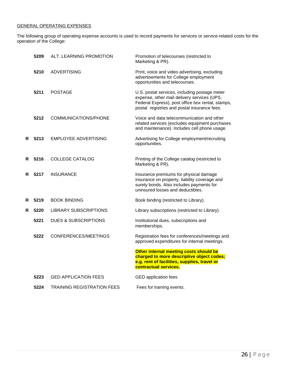#### GENERAL OPERATING EXPENSES

The following group of operating expense accounts is used to record payments for services or service-related costs for the operation of the College:

|    | 5209 | ALT. LEARNING PROMOTION           | Promotion of telecourses (restricted to<br>Marketing & PR).                                                                                                                                       |
|----|------|-----------------------------------|---------------------------------------------------------------------------------------------------------------------------------------------------------------------------------------------------|
|    | 5210 | <b>ADVERTISING</b>                | Print, voice and video advertising, excluding<br>advertisements for College employment<br>opportunities and telecourses.                                                                          |
|    | 5211 | <b>POSTAGE</b>                    | U.S. postal services, including postage meter<br>expense, other mail delivery services (UPS,<br>Federal Express), post office box rental, stamps,<br>postal registries and postal insurance fees. |
|    | 5212 | COMMUNICATIONS/PHONE              | Voice and data telecommunication and other<br>related services (excludes equipment purchases<br>and maintenance). Includes cell phone usage.                                                      |
| R. | 5213 | EMPLOYEE ADVERTISING              | Advertising for College employment/recruiting<br>opportunities.                                                                                                                                   |
| R. | 5216 | COLLEGE CATALOG                   | Printing of the College catalog (restricted to<br>Marketing & PR).                                                                                                                                |
| R. | 5217 | <b>INSURANCE</b>                  | Insurance premiums for physical damage<br>insurance on property, liability coverage and<br>surety bonds. Also includes payments for<br>uninsured losses and deductibles.                          |
| R  | 5219 | <b>BOOK BINDING</b>               | Book binding (restricted to Library).                                                                                                                                                             |
| R  | 5220 | <b>LIBRARY SUBSCRIPTIONS</b>      | Library subscriptions (restricted to Library).                                                                                                                                                    |
|    | 5221 | <b>DUES &amp; SUBSCRIPTIONS</b>   | Institutional dues, subscriptions and<br>memberships.                                                                                                                                             |
|    | 5222 | CONFERENCES/MEETINGS              | Registration fees for conferences/meetings and<br>approved expenditures for internal meetings.                                                                                                    |
|    |      |                                   | Other internal meeting costs should be<br>charged to more descriptive object codes;<br>e.g. rent of facilities, supplies, travel or<br>contractual services.                                      |
|    | 5223 | <b>GED APPLICATION FEES</b>       | <b>GED</b> application fees                                                                                                                                                                       |
|    | 5224 | <b>TRAINING REGISTRATION FEES</b> | Fees for training events.                                                                                                                                                                         |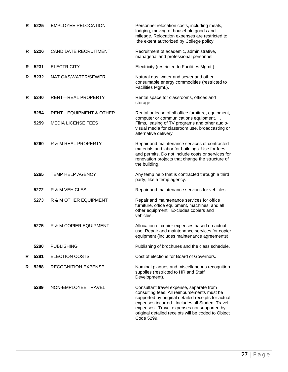| R  | 5225 | <b>EMPLOYEE RELOCATION</b>        | Personnel relocation costs, including meals,<br>lodging, moving of household goods and<br>mileage. Relocation expenses are restricted to<br>the extent authorized by College policy.                                                                                                                              |
|----|------|-----------------------------------|-------------------------------------------------------------------------------------------------------------------------------------------------------------------------------------------------------------------------------------------------------------------------------------------------------------------|
| R. | 5226 | <b>CANDIDATE RECRUITMENT</b>      | Recruitment of academic, administrative,<br>managerial and professional personnel.                                                                                                                                                                                                                                |
| R. | 5231 | <b>ELECTRICITY</b>                | Electricity (restricted to Facilities Mgmt.).                                                                                                                                                                                                                                                                     |
| R. | 5232 | NAT GAS/WATER/SEWER               | Natural gas, water and sewer and other<br>consumable energy commodities (restricted to<br>Facilities Mgmt.).                                                                                                                                                                                                      |
| R  | 5240 | <b>RENT-REAL PROPERTY</b>         | Rental space for classrooms, offices and<br>storage.                                                                                                                                                                                                                                                              |
|    | 5254 | <b>RENT-EQUIPMENT &amp; OTHER</b> | Rental or lease of all office furniture, equipment,<br>computer or communications equipment.                                                                                                                                                                                                                      |
|    | 5259 | <b>MEDIA LICENSE FEES</b>         | Films, leasing of TV programs and other audio-<br>visual media for classroom use, broadcasting or<br>alternative delivery.                                                                                                                                                                                        |
|    | 5260 | R & M REAL PROPERTY               | Repair and maintenance services of contracted<br>materials and labor for buildings. Use for fees<br>and permits. Do not include costs or services for<br>renovation projects that change the structure of<br>the building.                                                                                        |
|    | 5265 | <b>TEMP HELP AGENCY</b>           | Any temp help that is contracted through a third<br>party, like a temp agency.                                                                                                                                                                                                                                    |
|    | 5272 | R & M VEHICLES                    | Repair and maintenance services for vehicles.                                                                                                                                                                                                                                                                     |
|    | 5273 | R & M OTHER EQUIPMENT             | Repair and maintenance services for office<br>furniture, office equipment, machines, and all<br>other equipment. Excludes copiers and<br>vehicles.                                                                                                                                                                |
|    | 5275 | R & M COPIER EQUIPMENT            | Allocation of copier expenses based on actual<br>use. Repair and maintenance services for copier<br>equipment (includes maintenance agreements).                                                                                                                                                                  |
|    | 5280 | <b>PUBLISHING</b>                 | Publishing of brochures and the class schedule.                                                                                                                                                                                                                                                                   |
| R. | 5281 | <b>ELECTION COSTS</b>             | Cost of elections for Board of Governors.                                                                                                                                                                                                                                                                         |
| R. | 5288 | <b>RECOGNITION EXPENSE</b>        | Nominal plaques and miscellaneous recognition<br>supplies (restricted to HR and Staff<br>Development).                                                                                                                                                                                                            |
|    | 5289 | NON-EMPLOYEE TRAVEL               | Consultant travel expense, separate from<br>consulting fees. All reimbursements must be<br>supported by original detailed receipts for actual<br>expenses incurred. Includes all Student Travel<br>expenses. Travel expenses not supported by<br>original detailed receipts will be coded to Object<br>Code 5299. |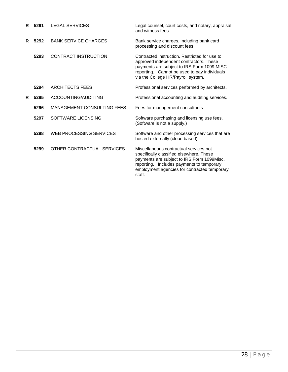| R  | 5291 | <b>LEGAL SERVICES</b>             | Legal counsel, court costs, and notary, appraisal<br>and witness fees.                                                                                                                                                                  |
|----|------|-----------------------------------|-----------------------------------------------------------------------------------------------------------------------------------------------------------------------------------------------------------------------------------------|
| R  | 5292 | <b>BANK SERVICE CHARGES</b>       | Bank service charges, including bank card<br>processing and discount fees.                                                                                                                                                              |
|    | 5293 | <b>CONTRACT INSTRUCTION</b>       | Contracted instruction. Restricted for use to<br>approved independent contractors. These<br>payments are subject to IRS Form 1099 MISC<br>reporting. Cannot be used to pay individuals<br>via the College HR/Payroll system.            |
|    | 5294 | <b>ARCHITECTS FEES</b>            | Professional services performed by architects.                                                                                                                                                                                          |
| R. | 5295 | ACCOUNTING/AUDITING               | Professional accounting and auditing services.                                                                                                                                                                                          |
|    | 5296 | <b>MANAGEMENT CONSULTING FEES</b> | Fees for management consultants.                                                                                                                                                                                                        |
|    | 5297 | SOFTWARE LICENSING                | Software purchasing and licensing use fees.<br>(Software is not a supply.)                                                                                                                                                              |
|    | 5298 | WEB PROCESSING SERVICES           | Software and other processing services that are<br>hosted externally (cloud based).                                                                                                                                                     |
|    | 5299 | OTHER CONTRACTUAL SERVICES        | Miscellaneous contractual services not<br>specifically classified elsewhere. These<br>payments are subject to IRS Form 1099Misc.<br>reporting. Includes payments to temporary<br>employment agencies for contracted temporary<br>staff. |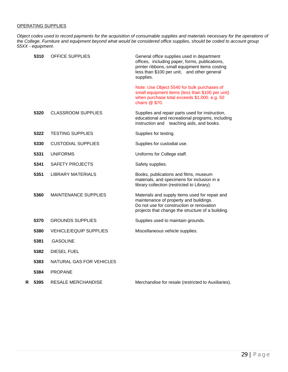#### OPERATING SUPPLIES

*Object codes used to record payments for the acquisition of consumable supplies and materials necessary for the operations of the College. Furniture and equipment beyond what would be considered office supplies, should be coded to account group 55XX - equipment.*

|   | 5310 | <b>OFFICE SUPPLIES</b>        | General office supplies used in department<br>offices, including paper, forms, publications,<br>printer ribbons,-small equipment items costing<br>less than \$100 per unit, and other general<br>supplies. |
|---|------|-------------------------------|------------------------------------------------------------------------------------------------------------------------------------------------------------------------------------------------------------|
|   |      |                               | Note: Use Object 5540 for bulk purchases of<br>small equipment items (less than \$100 per unit)<br>when purchase total exceeds \$1,000. e.g. 50<br>chairs @ \$70.                                          |
|   | 5320 | <b>CLASSROOM SUPPLIES</b>     | Supplies and repair parts used for instruction,<br>educational and recreational programs, including<br>instruction and teaching aids, and books.                                                           |
|   | 5322 | <b>TESTING SUPPLIES</b>       | Supplies for testing.                                                                                                                                                                                      |
|   | 5330 | <b>CUSTODIAL SUPPLIES</b>     | Supplies for custodial use.                                                                                                                                                                                |
|   | 5331 | <b>UNIFORMS</b>               | Uniforms for College staff.                                                                                                                                                                                |
|   | 5341 | SAFETY PROJECTS               | Safety supplies.                                                                                                                                                                                           |
|   | 5351 | <b>LIBRARY MATERIALS</b>      | Books, publications and films, museum<br>materials, and specimens for inclusion in a<br>library collection (restricted to Library).                                                                        |
|   | 5360 | <b>MAINTENANCE SUPPLIES</b>   | Materials and supply items used for repair and<br>maintenance of property and buildings.<br>Do not use for construction or renovation<br>projects that change the structure of a building.                 |
|   | 5370 | <b>GROUNDS SUPPLIES</b>       | Supplies used to maintain grounds.                                                                                                                                                                         |
|   | 5380 | <b>VEHICLE/EQUIP SUPPLIES</b> | Miscellaneous vehicle supplies.                                                                                                                                                                            |
|   | 5381 | .GASOLINE                     |                                                                                                                                                                                                            |
|   | 5382 | <b>DIESEL FUEL</b>            |                                                                                                                                                                                                            |
|   | 5383 | NATURAL GAS FOR VEHICLES      |                                                                                                                                                                                                            |
|   | 5384 | <b>PROPANE</b>                |                                                                                                                                                                                                            |
| R | 5395 | <b>RESALE MERCHANDISE</b>     | Merchandise for resale (restricted to Auxiliaries).                                                                                                                                                        |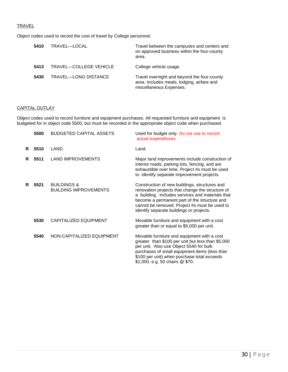#### **TRAVEL**

Object codes used to record the cost of travel by College personnel.

| 5410 | TRAVEL-LOCAL           | Travel between the campuses and centers and<br>on approved business within the four-county<br>area.                  |
|------|------------------------|----------------------------------------------------------------------------------------------------------------------|
| 5413 | TRAVEL-COLLEGE VEHICLE | College vehicle usage.                                                                                               |
| 5430 | TRAVEL-LONG DISTANCE   | Travel overnight and beyond the four-county<br>area. Includes meals, lodging, airfare and<br>miscellaneous Expenses. |

#### CAPITAL OUTLAY

Object codes used to record furniture and equipment purchases. All requested furniture and equipment is budgeted for in object code 5500, but must be recorded in the appropriate object code when purchased.

|    | 5500 | <b>BUDGETED CAPITAL ASSETS</b>                         | Used for budget only. Do not use to record<br>actual expenditures.                                                                                                                                                                                                                                 |
|----|------|--------------------------------------------------------|----------------------------------------------------------------------------------------------------------------------------------------------------------------------------------------------------------------------------------------------------------------------------------------------------|
| R  | 5510 | LAND                                                   | Land.                                                                                                                                                                                                                                                                                              |
| R  | 5511 | <b>LAND IMPROVEMENTS</b>                               | Major land improvements include construction of<br>interior roads, parking lots, fencing, and are<br>exhaustible over time. Project #s must be used<br>to identify separate improvement projects.                                                                                                  |
| R. | 5521 | <b>BUILDINGS &amp;</b><br><b>BUILDING IMPROVEMENTS</b> | Construction of new buildings, structures and<br>renovation projects that change the structure of<br>a building. Includes services and materials that<br>become a permanent part of the structure and<br>cannot be removed. Project #s must be used to<br>identify separate buildings or projects. |
|    | 5530 | <b>CAPITALIZED EQUIPMENT</b>                           | Movable furniture and equipment with a cost<br>greater than or equal to \$5,000 per unit.                                                                                                                                                                                                          |
|    | 5540 | NON-CAPITALIZED EQUIPMENT                              | Movable furniture and equipment with a cost<br>greater than \$100 per unit but less than \$5,000<br>per unit. Also use Object 5540 for bulk<br>purchases of small equipment items (less than<br>\$100 per unit) when purchase total exceeds<br>\$1,000. e.g. 50 chairs @ \$70.                     |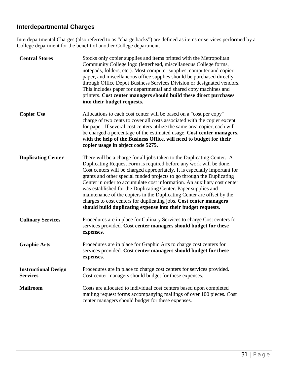### <span id="page-32-0"></span>**Interdepartmental Charges**

Interdepartmental Charges (also referred to as "charge backs") are defined as items or services performed by a College department for the benefit of another College department.

| <b>Central Stores</b>                          | Stocks only copier supplies and items printed with the Metropolitan<br>Community College logo (letterhead, miscellaneous College forms,<br>notepads, folders, etc.). Most computer supplies, computer and copier<br>paper, and miscellaneous office supplies should be purchased directly<br>through Office Depot Business Services Division or designated vendors.<br>This includes paper for departmental and shared copy machines and<br>printers. Cost center managers should build these direct purchases<br>into their budget requests.                                                                                                                      |
|------------------------------------------------|--------------------------------------------------------------------------------------------------------------------------------------------------------------------------------------------------------------------------------------------------------------------------------------------------------------------------------------------------------------------------------------------------------------------------------------------------------------------------------------------------------------------------------------------------------------------------------------------------------------------------------------------------------------------|
| <b>Copier Use</b>                              | Allocations to each cost center will be based on a "cost per copy"<br>charge of two cents to cover all costs associated with the copier except<br>for paper. If several cost centers utilize the same area copier, each will<br>be charged a percentage of the estimated usage. Cost center managers,<br>with the help of the Business Office, will need to budget for their<br>copier usage in object code 5275.                                                                                                                                                                                                                                                  |
| <b>Duplicating Center</b>                      | There will be a charge for all jobs taken to the Duplicating Center. A<br>Duplicating Request Form is required before any work will be done.<br>Cost centers will be charged appropriately. It is especially important for<br>grants and other special funded projects to go through the Duplicating<br>Center in order to accumulate cost information. An auxiliary cost center<br>was established for the Duplicating Center. Paper supplies and<br>maintenance of the copiers in the Duplicating Center are offset by the<br>charges to cost centers for duplicating jobs. Cost center managers<br>should build duplicating expense into their budget requests. |
| <b>Culinary Services</b>                       | Procedures are in place for Culinary Services to charge Cost centers for<br>services provided. Cost center managers should budget for these<br>expenses.                                                                                                                                                                                                                                                                                                                                                                                                                                                                                                           |
| <b>Graphic Arts</b>                            | Procedures are in place for Graphic Arts to charge cost centers for<br>services provided. Cost center managers should budget for these<br>expenses.                                                                                                                                                                                                                                                                                                                                                                                                                                                                                                                |
| <b>Instructional Design</b><br><b>Services</b> | Procedures are in place to charge cost centers for services provided.<br>Cost center managers should budget for these expenses.                                                                                                                                                                                                                                                                                                                                                                                                                                                                                                                                    |
| <b>Mailroom</b>                                | Costs are allocated to individual cost centers based upon completed<br>mailing request forms accompanying mailings of over 100 pieces. Cost<br>center managers should budget for these expenses.                                                                                                                                                                                                                                                                                                                                                                                                                                                                   |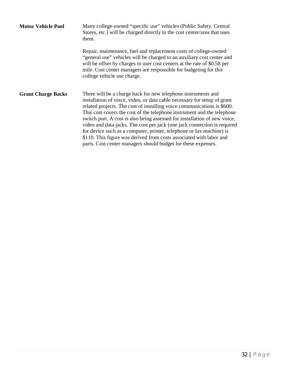| <b>Motor Vehicle Pool</b> | Many college-owned "specific use" vehicles (Public Safety, Central<br>Stores, etc.) will be charged directly to the cost center/area that uses<br>them.                                                                                                                                                                                                                                                                                                                                                                                                                                                                                                                  |  |  |
|---------------------------|--------------------------------------------------------------------------------------------------------------------------------------------------------------------------------------------------------------------------------------------------------------------------------------------------------------------------------------------------------------------------------------------------------------------------------------------------------------------------------------------------------------------------------------------------------------------------------------------------------------------------------------------------------------------------|--|--|
|                           | Repair, maintenance, fuel and replacement costs of college-owned<br>"general use" vehicles will be charged to an auxiliary cost center and<br>will be offset by charges to user cost centers at the rate of \$0.58 per<br>mile. Cost center managers are responsible for budgeting for this<br>college vehicle use charge.                                                                                                                                                                                                                                                                                                                                               |  |  |
| <b>Grant Charge Backs</b> | There will be a charge back for new telephone instruments and<br>installation of voice, video, or data cable necessary for setup of grant<br>related projects. The cost of installing voice communications is \$600.<br>This cost covers the cost of the telephone instrument and the telephone<br>switch port. A cost is also being assessed for installation of new voice,<br>video and data jacks. The cost per jack (one jack connection is required<br>for device such as a computer, printer, telephone or fax machine) is<br>\$110. This figure was derived from costs associated with labor and<br>parts. Cost center managers should budget for these expenses. |  |  |